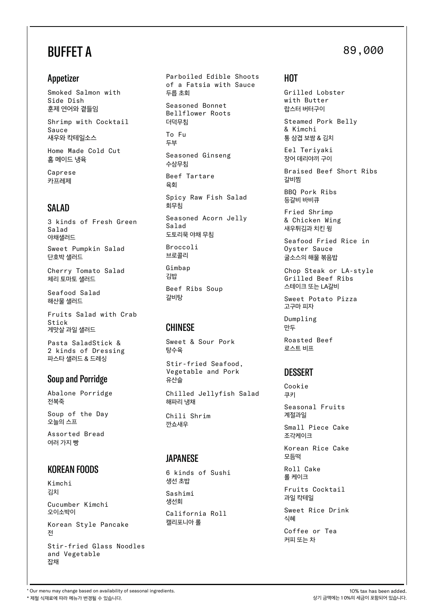# BUFFET A

### Appetizer

Smoked Salmon with Side Dish 훈제 연어와 곁들임

새우와 칵테일소스 Shrimp with Cocktail Sauce

Home Made Cold Cut 홈 메이드 냉육

Caprese 카프레제

# SALAD

3 kinds of Fresh Green Salad 야채샐러드

Sweet Pumpkin Salad 단호박 샐러드

Cherry Tomato Salad 체리 토마토 샐러드

Seafood Salad 해산물 샐러드

Fruits Salad with Crab Stick 게맛살 과일 샐러드

Pasta SaladStick & 2 kinds of Dressing 파스타 샐러드 & 드레싱

### Soup and Porridge

Abalone Porridge 전복죽

오늘의 스프 Soup of the Day

Assorted Bread 여러 가지 빵

### KOREAN FOODS

Kimchi 김치

오이소박이 Cucumber Kimchi

Korean Style Pancake 전

Stir-fried Glass Noodles and Vegetable 잡채

두릅 초회 Parboiled Edible Shoots of a Fatsia with Sauce Seasoned Ginseng Broccoli Seasoned Bonnet Bellflower Roots Spicy Raw Fish Salad 수삼무침 더덕무침 회무침 육회 Beef Tartare To Fu Seasoned Acorn Jelly Salad 두부 도토리묵 야채 무침

Beef Ribs Soup 브로콜리 갈비탕 김밥 Gimbap

# CHINESE

Sweet & Sour Pork 탕수육

Stir-fried Seafood, Vegetable and Pork 유산슬

Chilled Jellyfish Salad 해파리 냉채

Chili Shrim 깐쇼새우

### JAPANESE

6 kinds of Sushi 생선 초밥

생선회 Sashimi

California Roll 캘리포니아 롤

# 89,000

**HOT** 

Grilled Lobster with Butter 랍스터 버터구이

통 삼겹 보쌈 & 김치 Steamed Pork Belly & Kimchi

Eel Teriyaki 장어 데리야끼 구이

Braised Beef Short Ribs 갈비찜

등갈비 바비큐 BBQ Pork Ribs

Fried Shrimp & Chicken Wing 새우튀김과 치킨 윙

Seafood Fried Rice in Oyster Sauce 굴소스의 해물 볶음밥

Chop Steak or LA-style Grilled Beef Ribs 스테이크 또는 LA갈비

고구마 피자 Sweet Potato Pizza

Dumpling 만두

Roasted Beef 로스트 비프

### DESSERT Cookie

쿠키 계절과일 Seasonal Fruits

Small Piece Cake 조각케이크

Korean Rice Cake 모듬떡

롤 케이크 Roll Cake

Fruits Cocktail 과일 칵테일

Sweet Rice Drink 식혜

Coffee or Tea 커피 또는 차